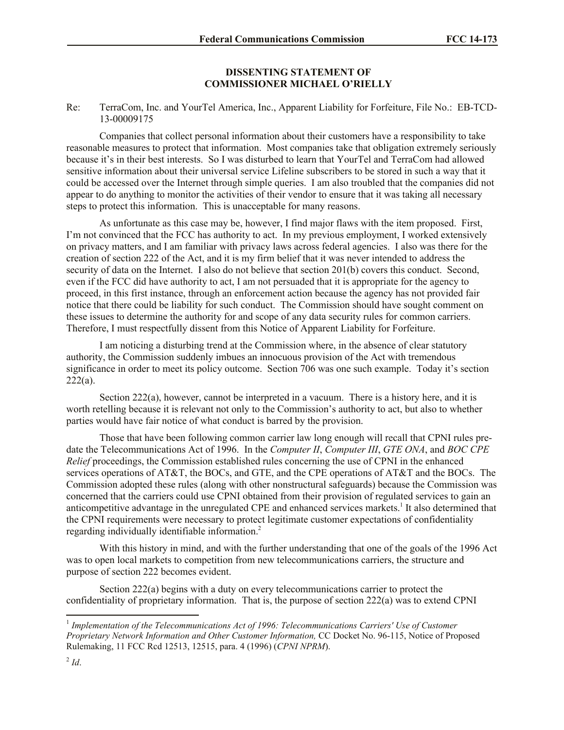## **DISSENTING STATEMENT OF COMMISSIONER MICHAEL O'RIELLY**

## Re: TerraCom, Inc. and YourTel America, Inc., Apparent Liability for Forfeiture, File No.: EB-TCD-13-00009175

Companies that collect personal information about their customers have a responsibility to take reasonable measures to protect that information. Most companies take that obligation extremely seriously because it's in their best interests. So I was disturbed to learn that YourTel and TerraCom had allowed sensitive information about their universal service Lifeline subscribers to be stored in such a way that it could be accessed over the Internet through simple queries. I am also troubled that the companies did not appear to do anything to monitor the activities of their vendor to ensure that it was taking all necessary steps to protect this information. This is unacceptable for many reasons.

As unfortunate as this case may be, however, I find major flaws with the item proposed. First, I'm not convinced that the FCC has authority to act. In my previous employment, I worked extensively on privacy matters, and I am familiar with privacy laws across federal agencies. I also was there for the creation of section 222 of the Act, and it is my firm belief that it was never intended to address the security of data on the Internet. I also do not believe that section 201(b) covers this conduct. Second, even if the FCC did have authority to act, I am not persuaded that it is appropriate for the agency to proceed, in this first instance, through an enforcement action because the agency has not provided fair notice that there could be liability for such conduct. The Commission should have sought comment on these issues to determine the authority for and scope of any data security rules for common carriers. Therefore, I must respectfully dissent from this Notice of Apparent Liability for Forfeiture.

I am noticing a disturbing trend at the Commission where, in the absence of clear statutory authority, the Commission suddenly imbues an innocuous provision of the Act with tremendous significance in order to meet its policy outcome. Section 706 was one such example. Today it's section  $222(a)$ .

Section  $222(a)$ , however, cannot be interpreted in a vacuum. There is a history here, and it is worth retelling because it is relevant not only to the Commission's authority to act, but also to whether parties would have fair notice of what conduct is barred by the provision.

Those that have been following common carrier law long enough will recall that CPNI rules predate the Telecommunications Act of 1996. In the *Computer II*, *Computer III*, *GTE ONA*, and *BOC CPE Relief* proceedings, the Commission established rules concerning the use of CPNI in the enhanced services operations of AT&T, the BOCs, and GTE, and the CPE operations of AT&T and the BOCs. The Commission adopted these rules (along with other nonstructural safeguards) because the Commission was concerned that the carriers could use CPNI obtained from their provision of regulated services to gain an anticompetitive advantage in the unregulated CPE and enhanced services markets.<sup>1</sup> It also determined that the CPNI requirements were necessary to protect legitimate customer expectations of confidentiality regarding individually identifiable information.<sup>2</sup>

With this history in mind, and with the further understanding that one of the goals of the 1996 Act was to open local markets to competition from new telecommunications carriers, the structure and purpose of section 222 becomes evident.

Section 222(a) begins with a duty on every telecommunications carrier to protect the confidentiality of proprietary information. That is, the purpose of section 222(a) was to extend CPNI

 $\overline{\phantom{a}}$ 

<sup>&</sup>lt;sup>1</sup> Implementation of the Telecommunications Act of 1996: Telecommunications Carriers' Use of Customer *Proprietary Network Information and Other Customer Information,* CC Docket No. 96-115, Notice of Proposed Rulemaking, 11 FCC Rcd 12513, 12515, para. 4 (1996) (*CPNI NPRM*).

 $^{2}$ *Id*.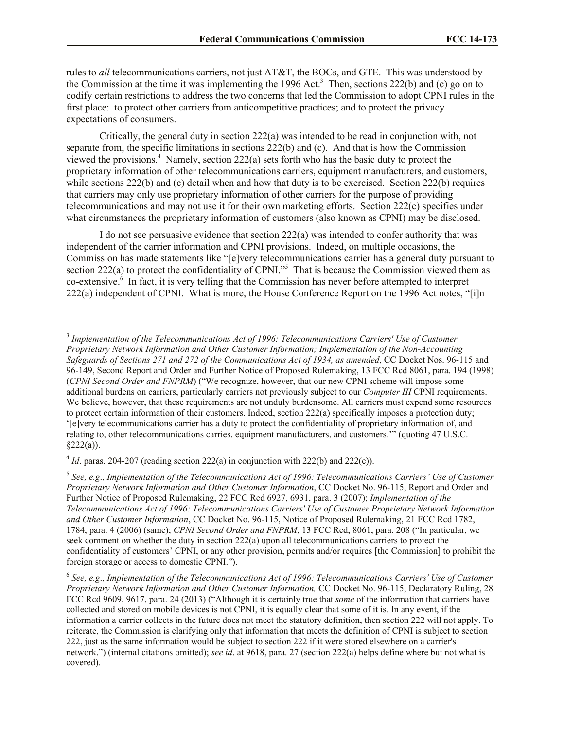rules to *all* telecommunications carriers, not just AT&T, the BOCs, and GTE. This was understood by the Commission at the time it was implementing the 1996 Act.<sup>3</sup> Then, sections 222(b) and (c) go on to codify certain restrictions to address the two concerns that led the Commission to adopt CPNI rules in the first place: to protect other carriers from anticompetitive practices; and to protect the privacy expectations of consumers.

Critically, the general duty in section 222(a) was intended to be read in conjunction with, not separate from, the specific limitations in sections 222(b) and (c). And that is how the Commission viewed the provisions.<sup>4</sup> Namely, section 222(a) sets forth who has the basic duty to protect the proprietary information of other telecommunications carriers, equipment manufacturers, and customers, while sections 222(b) and (c) detail when and how that duty is to be exercised. Section 222(b) requires that carriers may only use proprietary information of other carriers for the purpose of providing telecommunications and may not use it for their own marketing efforts. Section 222(c) specifies under what circumstances the proprietary information of customers (also known as CPNI) may be disclosed.

I do not see persuasive evidence that section  $222(a)$  was intended to confer authority that was independent of the carrier information and CPNI provisions. Indeed, on multiple occasions, the Commission has made statements like "[e]very telecommunications carrier has a general duty pursuant to section 222(a) to protect the confidentiality of CPNI."<sup>5</sup> That is because the Commission viewed them as co-extensive. 6 In fact, it is very telling that the Commission has never before attempted to interpret 222(a) independent of CPNI. What is more, the House Conference Report on the 1996 Act notes, "[i]n

 3 *Implementation of the Telecommunications Act of 1996: Telecommunications Carriers' Use of Customer Proprietary Network Information and Other Customer Information; Implementation of the Non-Accounting Safeguards of Sections 271 and 272 of the Communications Act of 1934, as amended*, CC Docket Nos. 96-115 and 96-149, Second Report and Order and Further Notice of Proposed Rulemaking, 13 FCC Rcd 8061, para. 194 (1998) (*CPNI Second Order and FNPRM*) ("We recognize, however, that our new CPNI scheme will impose some additional burdens on carriers, particularly carriers not previously subject to our *Computer III* CPNI requirements. We believe, however, that these requirements are not unduly burdensome. All carriers must expend some resources to protect certain information of their customers. Indeed, section 222(a) specifically imposes a protection duty; '[e]very telecommunications carrier has a duty to protect the confidentiality of proprietary information of, and relating to, other telecommunications carries, equipment manufacturers, and customers.'" (quoting 47 U.S.C.  $§222(a)$ ).

 $4$  *Id*. paras. 204-207 (reading section 222(a) in conjunction with 222(b) and 222(c)).

<sup>5</sup> *See, e.g*., *Implementation of the Telecommunications Act of 1996: Telecommunications Carriers' Use of Customer Proprietary Network Information and Other Customer Information*, CC Docket No. 96-115, Report and Order and Further Notice of Proposed Rulemaking, 22 FCC Rcd 6927, 6931, para. 3 (2007); *Implementation of the Telecommunications Act of 1996: Telecommunications Carriers' Use of Customer Proprietary Network Information and Other Customer Information*, CC Docket No. 96-115, Notice of Proposed Rulemaking, 21 FCC Rcd 1782, 1784, para. 4 (2006) (same); *CPNI Second Order and FNPRM*, 13 FCC Rcd, 8061, para. 208 ("In particular, we seek comment on whether the duty in section 222(a) upon all telecommunications carriers to protect the confidentiality of customers' CPNI, or any other provision, permits and/or requires [the Commission] to prohibit the foreign storage or access to domestic CPNI.").

<sup>6</sup> *See, e.g*., *Implementation of the Telecommunications Act of 1996: Telecommunications Carriers' Use of Customer Proprietary Network Information and Other Customer Information,* CC Docket No. 96-115, Declaratory Ruling, 28 FCC Rcd 9609, 9617, para. 24 (2013) ("Although it is certainly true that *some* of the information that carriers have collected and stored on mobile devices is not CPNI, it is equally clear that some of it is. In any event, if the information a carrier collects in the future does not meet the statutory definition, then section 222 will not apply. To reiterate, the Commission is clarifying only that information that meets the definition of CPNI is subject to section 222, just as the same information would be subject to section 222 if it were stored elsewhere on a carrier's network.") (internal citations omitted); *see id*. at 9618, para. 27 (section 222(a) helps define where but not what is covered).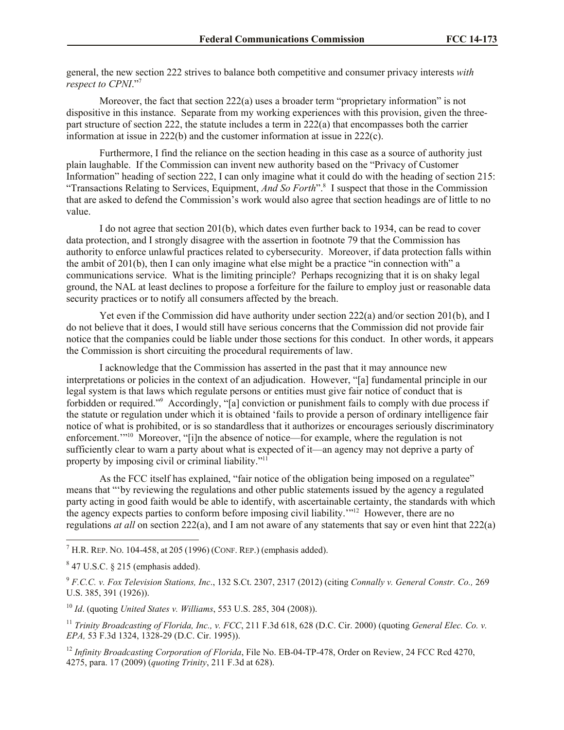general, the new section 222 strives to balance both competitive and consumer privacy interests *with respect to CPNI*."<sup>7</sup>

Moreover, the fact that section 222(a) uses a broader term "proprietary information" is not dispositive in this instance. Separate from my working experiences with this provision, given the threepart structure of section 222, the statute includes a term in 222(a) that encompasses both the carrier information at issue in 222(b) and the customer information at issue in 222(c).

Furthermore, I find the reliance on the section heading in this case as a source of authority just plain laughable. If the Commission can invent new authority based on the "Privacy of Customer Information" heading of section 222, I can only imagine what it could do with the heading of section 215: "Transactions Relating to Services, Equipment, *And So Forth*".<sup>8</sup> I suspect that those in the Commission that are asked to defend the Commission's work would also agree that section headings are of little to no value.

I do not agree that section 201(b), which dates even further back to 1934, can be read to cover data protection, and I strongly disagree with the assertion in footnote 79 that the Commission has authority to enforce unlawful practices related to cybersecurity. Moreover, if data protection falls within the ambit of 201(b), then I can only imagine what else might be a practice "in connection with" a communications service. What is the limiting principle? Perhaps recognizing that it is on shaky legal ground, the NAL at least declines to propose a forfeiture for the failure to employ just or reasonable data security practices or to notify all consumers affected by the breach.

Yet even if the Commission did have authority under section 222(a) and/or section 201(b), and I do not believe that it does, I would still have serious concerns that the Commission did not provide fair notice that the companies could be liable under those sections for this conduct. In other words, it appears the Commission is short circuiting the procedural requirements of law.

I acknowledge that the Commission has asserted in the past that it may announce new interpretations or policies in the context of an adjudication. However, "[a] fundamental principle in our legal system is that laws which regulate persons or entities must give fair notice of conduct that is forbidden or required."<sup>9</sup> Accordingly, "[a] conviction or punishment fails to comply with due process if the statute or regulation under which it is obtained 'fails to provide a person of ordinary intelligence fair notice of what is prohibited, or is so standardless that it authorizes or encourages seriously discriminatory enforcement."<sup>10</sup> Moreover, "[i]n the absence of notice—for example, where the regulation is not sufficiently clear to warn a party about what is expected of it—an agency may not deprive a party of property by imposing civil or criminal liability."<sup>11</sup>

As the FCC itself has explained, "fair notice of the obligation being imposed on a regulatee" means that "'by reviewing the regulations and other public statements issued by the agency a regulated party acting in good faith would be able to identify, with ascertainable certainty, the standards with which the agency expects parties to conform before imposing civil liability."<sup>12</sup> However, there are no regulations *at all* on section 222(a), and I am not aware of any statements that say or even hint that 222(a)

 $\overline{a}$ 

<sup>10</sup> *Id*. (quoting *United States v. Williams*, 553 U.S. 285, 304 (2008)).

<sup>12</sup> *Infinity Broadcasting Corporation of Florida*, File No. EB-04-TP-478, Order on Review, 24 FCC Rcd 4270, 4275, para. 17 (2009) (*quoting Trinity*, 211 F.3d at 628).

<sup>&</sup>lt;sup>7</sup> H.R. REP. NO. 104-458, at 205 (1996) (CONF. REP.) (emphasis added).

 $847$  U.S.C. § 215 (emphasis added).

<sup>9</sup> *F.C.C. v. Fox Television Stations, Inc*., 132 S.Ct. 2307, 2317 (2012) (citing *Connally v. General Constr. Co.,* 269 U.S. 385, 391 (1926)).

<sup>11</sup> *Trinity Broadcasting of Florida, Inc., v. FCC*, 211 F.3d 618, 628 (D.C. Cir. 2000) (quoting *General Elec. Co. v. EPA,* 53 F.3d 1324, 1328-29 (D.C. Cir. 1995)).